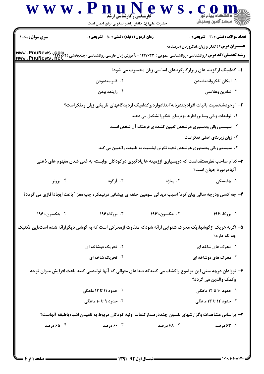|                        | حضرت علی(ع): دانش راهبر نیکویی برای ایمان است                                                                                                                                                                                           |                                                                        | لاڪ دانشڪاه پيام نور<br>الاڪ مرڪز آزمون وسنڊش         |
|------------------------|-----------------------------------------------------------------------------------------------------------------------------------------------------------------------------------------------------------------------------------------|------------------------------------------------------------------------|-------------------------------------------------------|
| <b>سری سوال :</b> یک ۱ | <b>زمان آزمون (دقیقه) : تستی : 50 ٪ تشریحی : 0</b>                                                                                                                                                                                      |                                                                        | <b>تعداد سوالات : تستی : 30 ٪ تشریحی : 0</b>          |
|                        |                                                                                                                                                                                                                                         |                                                                        | <b>عنـــوان درس:</b> ( تفکر و زبان،تفکروزبان (درسنامه |
| www.PnuNews.net        | <b>رشته تحصیلی/کد درس: روانشناسی (روانشناسی عمومی ) ۱۲۱۷۰۳۳ - ،آموزش زبان فارسی،روانشناسی (چندبخشی ) ۱۲۷۰۲۲۲ MWW. PnuNews<br/>مسیحهبویی (وانشناسی (روانشناسی عمومی) ۱۲۱۷۰۳۳ - ،آموزش زبان فارسی،روانشناسی (چندبخشی) ۱٬۳۰۰٬۳۵۰٬۰۰۲ M</b> |                                                                        |                                                       |
|                        |                                                                                                                                                                                                                                         | ا– کدامیک ازگزینه های زیرازکارکردهای اساسی زبان محسوب می شود؟          |                                                       |
|                        | ۰۲ قانونمندبودن                                                                                                                                                                                                                         |                                                                        | ۰۱ امکان تفکرواندیشیدن                                |
|                        | ۰۴ زاينده بودن                                                                                                                                                                                                                          |                                                                        | ۰۳ نمادین وعلامتی                                     |
|                        | ۲– ″وجودشخصیت باثبات افرادچندزبانه″انتقادواردبر کدامیک ازدیدگاههای تاریخی زبان وتفکراست؟                                                                                                                                                |                                                                        |                                                       |
|                        |                                                                                                                                                                                                                                         | ۰۱ تولیدات زبانی وسایررفتارها-زیربنای تفکرراتشکیل می دهند.             |                                                       |
|                        |                                                                                                                                                                                                                                         | <b>۲ . سیستم زبانی ودستوری هرشخص تعیین کننده ی فرهنگ آن شخص است.</b>   |                                                       |
|                        |                                                                                                                                                                                                                                         |                                                                        | ۰۳ زبان زیربنای اصلی تفکراست.                         |
|                        |                                                                                                                                                                                                                                         | ۰۴ سیستم زبانی ودستوری هرشخص نحوه نگرش اونسبت به طبیعت راتعیین می کند. |                                                       |
|                        | ۳– کدام صاحب نظرمعتقداست که دربسیاری اززمینه ها یادگیری درکودکان ،وابسته به غنی شدن مفهوم های ذهنی                                                                                                                                      |                                                                        |                                                       |
|                        |                                                                                                                                                                                                                                         |                                                                        | آنهادرمورد جهان است؟                                  |
| ۰۴ برونر               | آزگود $\cdot$ $^\circ$                                                                                                                                                                                                                  | ۰۲ پیاژه                                                               | ۰۱ چامسکی                                             |
|                        | ۴- چه کسی ودرچه سالی بیان کرد ؒ آسیب دیدگی سومین حلقه ی پیشانی درنیمکره چپ مغز ؒ باعث ایجادآفازی می گردد؟                                                                                                                               |                                                                        |                                                       |
| ۰۴ جکسون،۱۹۶۰          | ۰۳ بروکا،۱۹۶۱                                                                                                                                                                                                                           | ۰۲ جکسون،۱۹۶۱                                                          | ۰۱ بروکا،۱۹۶۰                                         |
|                        | ۵– اگربه هریک ازگوشها،یک محرک شنوایی ارائه شودکه متفاوت ازمحرکی است که به گوشی دیگرارائه شده است،این تکنیک                                                                                                                              |                                                                        | چه نام دارد؟                                          |
|                        | <b>۲ . تحریک دوشاخه ای</b>                                                                                                                                                                                                              |                                                                        | ۰۱ محرک های شاخه ای                                   |
|                        | ۰۴ تحریک شاخه ای                                                                                                                                                                                                                        |                                                                        | ۰۳ محرک های دوشاخه ای                                 |
|                        | ۶– نوزادان درچه سنی این موضوع راکشف می کنندکه صداهای متوالی که آنها تولیدمی کنند،باعث افزایش میزان توجه                                                                                                                                 |                                                                        | وكمك والدين مي گردد؟                                  |
|                        | ۲. حدود ۱۱ تا ۱۲ ماهگی                                                                                                                                                                                                                  |                                                                        | ۱. حدود ۱۰ تا ۱۲ ماهگی                                |
|                        | ۰۴ حدود ۹ تا ۱۰ ماهگی                                                                                                                                                                                                                   |                                                                        | ۰۳ حدود ۱۲ تا ۱۳ ماهگی                                |
|                        | ۷– براساس مشاهدات وگزارشهای نلسون چنددرصدازکلمات اولیه کودکان مربوط به نامیدن اشیاءیاطبقه آنهاست؟                                                                                                                                       |                                                                        |                                                       |
| ۰۴ ه ۶۵ درصد           | ۰.۳ ۶۰ درصد                                                                                                                                                                                                                             | <b>4. ۶۸ درصد</b>                                                      | ۰۱. ۶۳ درصد                                           |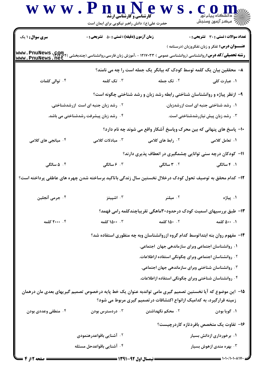| W W W                                                                                                                                                | <b>کارشناسی و کارشناسی ارشد</b><br>حضرت علی(ع): دانش راهبر نیکویی برای ایمان است                           |                                                                                            | ال مال مال بيام نور<br>الا دانشگاه پيام نور           |
|------------------------------------------------------------------------------------------------------------------------------------------------------|------------------------------------------------------------------------------------------------------------|--------------------------------------------------------------------------------------------|-------------------------------------------------------|
| <b>سری سوال : ۱ یک</b>                                                                                                                               | <b>زمان آزمون (دقیقه) : تستی : 50 ٪ تشریحی : 0</b>                                                         |                                                                                            | <b>تعداد سوالات : تستی : 30 ٪ تشریحی : 0</b>          |
| <b>رشته تحصیلی/کد درس: روانشناسی (روانشناسی عمومی ) ۱۲۱۷۰۳۳ - ،آموزش زبان فارسی،روانشناسی (چندبخشی ) www . PnuNews . net<br/>www . PnuNews . net</b> |                                                                                                            |                                                                                            | <b>عنـــوان درس:</b> تفکر و زبان،تفکروزبان (درسنامه ) |
|                                                                                                                                                      |                                                                                                            | ۸– محققین بیان یک کلمه توسط کودک که بیانگر یک جمله است را چه می نامند؟                     |                                                       |
| ۰۴ توالی کلمات                                                                                                                                       | ۰۳ تک کلمه                                                                                                 | ۰۲ ت <b>ک جمله</b>                                                                         | ۱. عبارت کلی                                          |
|                                                                                                                                                      |                                                                                                            | ۹- ازنظر پیاژه و روانشناسان شناختی رابطه رشد زبان و رشد شناختی چگونه است؟                  |                                                       |
|                                                                                                                                                      | ۰۲ رشد زبان جنبه ای است آزرشدشناختی.                                                                       |                                                                                            | ۰۱ رشد شناختی جنبه ای است ازرشدزبان.                  |
|                                                                                                                                                      | ۰۴ رشد زبان پیشرفت رشدشناختی می باشد.                                                                      |                                                                                            | ۰۳ رشد زبان پیش نیازرشدشناختی است.                    |
|                                                                                                                                                      |                                                                                                            |                                                                                            |                                                       |
| ۰۴ میانجی های کلامی                                                                                                                                  | ۰۳ مبادلات کلامی                                                                                           | ∙۱- پاسخ های پنهانی که بین محرک وپاسخ آشکار واقع می شوند چه نام دارد؟<br>۰۲ رابط های کلامی | ۱. تعامل کلامی                                        |
|                                                                                                                                                      |                                                                                                            |                                                                                            |                                                       |
|                                                                                                                                                      |                                                                                                            | ۱۱– کودکان درچه سنی توانایی چشمگیری در انعطاف پذیری دارند؟                                 |                                                       |
| ۰۴ ۵ سالگی                                                                                                                                           | ۰۳ مسالگی                                                                                                  | ۰۲ سالگی                                                                                   | ۰۱ ۴ سالگی                                            |
|                                                                                                                                                      | ۱۲– کدام محقق به توصیف تحول کودک درخلال نخستین سال زندگی باتاکید برساخته شدن چهره های عاطفی پرداخته است؟   |                                                                                            |                                                       |
| ۰۴ جرمی آنجلین                                                                                                                                       | ۰۳ اشپیتز                                                                                                  | ۰۲ میلنر                                                                                   | ۰۱ پیاژه                                              |
|                                                                                                                                                      |                                                                                                            | ۱۳- طبق بررسیهای اسمیت کودک درحدود۳۰ماهگی تقریباچندکلمه رامی فهمد؟                         |                                                       |
| ۰۴ . ۲۰۰۰ کلمه                                                                                                                                       | ۰۳ ۱۵۰۰ کلمه                                                                                               | ۰۲ ۱۵۰ کلمه                                                                                | ۰۱ ۵۰۰ کلمه                                           |
|                                                                                                                                                      |                                                                                                            | ۱۴- مفهوم روان بنه ابتداتوسط کدام گروه ازروانشناسان وبه چه منظوری استفاده شد؟              |                                                       |
|                                                                                                                                                      |                                                                                                            | ۰۱ روانشناسان اجتماعی وبرای سازماندهی جهان اجتماعی.                                        |                                                       |
|                                                                                                                                                      |                                                                                                            | ۰۲ روانشناسان اجتماعی وبرای چگونگی استفاده ازاطلاعات.                                      |                                                       |
|                                                                                                                                                      |                                                                                                            | ۰۳ روانشناسان شناختی وبرای سازماندهی جهان اجتماعی.                                         |                                                       |
|                                                                                                                                                      |                                                                                                            | ۰۴ روانشناسان شناختی وبرای چگونگی استفاده ازاطلاعات.                                       |                                                       |
|                                                                                                                                                      | ۱۵–  این موضوع که آیا نخستین تصمیم گیری مامی تواندبه عنوان یک خط پایه درخصوص تصمیم گیریهای بعدی مان درهمان | زمینه قرارگیرد، به کدامیک ازانواع اکتشافات در تصمیم گیری مربوط می شود؟                     |                                                       |
| ۰۴ منطقی وعددی بودن                                                                                                                                  | دردسترس بودن $\cdot$ ۳ .                                                                                   | ۰۲ محکم نگهداشتن                                                                           | ۰۱ گويا بودن                                          |
|                                                                                                                                                      |                                                                                                            |                                                                                            | ۱۶- تفاوت یک متخصص بافردتازه کاردرچیست؟               |
|                                                                                                                                                      | ۰۲ آشنایی باقواعدرهنمودی                                                                                   |                                                                                            | ۰۱ برخورداری ازدانش بسیار                             |
|                                                                                                                                                      | ۰۴ آشنایی باقواعدحل مسئله                                                                                  |                                                                                            | ۰۳ بهره مندی ازهوش بسیار                              |
|                                                                                                                                                      |                                                                                                            |                                                                                            |                                                       |

N  $\overline{\phantom{a}}$ 

÷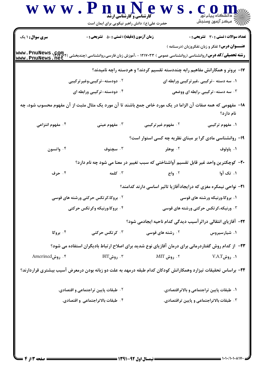|                                   | حضرت علی(ع): دانش راهبر نیکویی برای ایمان است                                                                                                        | <b>۔ کارشنایی و کارشناسی ارشد</b>                                            |                                                |  |
|-----------------------------------|------------------------------------------------------------------------------------------------------------------------------------------------------|------------------------------------------------------------------------------|------------------------------------------------|--|
| <b>سری سوال :</b> ۱ یک            | <b>زمان آزمون (دقیقه) : تستی : 50 ٪ تشریحی : 0</b>                                                                                                   |                                                                              | تعداد سوالات : تستى : 30 قشريحى : 0            |  |
|                                   | <b>رشته تحصیلی/کد درس: روانشناسی (روانشناسی عمومی ) ۱۲۱۷۰۳۳ - ،آموزش زبان فارسی،روانشناسی (چندبخشی ) www . PnuNews . net<br/>www . PnuNews . net</b> |                                                                              | عنـــوان درس: تفکر و زبان،تفکروزبان (درسنامه ) |  |
|                                   |                                                                                                                                                      | ۱۷- برونر و همکارانش مفاهیم رابه چنددسته تقسیم کردند؟ و هردسته راچه نامیدند؟ |                                                |  |
|                                   | ۰۲ دودسته-ترکیبی،وغیر ترکیبی                                                                                                                         |                                                                              | ۰۱ سه دسته -ترکیبی ،غیر ترکیبی ورابطه ای       |  |
|                                   | ۰۴ دودسته-ترکیبی ورابطه ای                                                                                                                           |                                                                              | ۰۳ سه دسته-ترکیبی ،رابطه ای ووضعی              |  |
|                                   | ۱۸− مفهومی که همه صفات آن الزاما در یک مورد خاص جمع باشند تا آن مورد یک مثال مثبت از آن مفهوم محسوب شود، چه                                          |                                                                              | نام دارد؟                                      |  |
| ۰۴ مفهوم انتزاعی                  | ۰۳ مفهوم عینی                                                                                                                                        | ۰۲ مفهوم غیر ترکیبی                                                          | ۱. مفهوم ترکیبی                                |  |
|                                   |                                                                                                                                                      | ۱۹- روانشناسی مادی گرا بر مبنای نظریه چه کسی استوار است؟                     |                                                |  |
| ۰۴ واتسون                         | ۰۳ سچنوف                                                                                                                                             | ۰۲ بوهلر                                                                     | ۰۱ پاولوف                                      |  |
|                                   | +۲- کوچکترین واحد غیر قابل تقسیم آواشناختی که سبب تغییر در معنا می شود چه نام دارد؟                                                                  |                                                                              |                                                |  |
| ۰۴ حرف                            | ۰۳ کلمه                                                                                                                                              | ۰۲ وا <del>ج</del>                                                           | ۰۱ تک آوا                                      |  |
|                                   |                                                                                                                                                      | <b>۲۱</b> - نواحی نیمکره مغزی که درایجادآفازیا تاثیر اساسی دارند کدامند؟     |                                                |  |
|                                   | <sup>۲</sup> . بروکا،کرتکس حرکتی ورشته های قوسی                                                                                                      |                                                                              | ۰۱ بروکا،ورنیکه ورشته های قوسی                 |  |
|                                   | ۰۴ بروکا،ورنیکه وکرتکس حرکتی                                                                                                                         |                                                                              | ۰۳ ورنیکه،کرتکس حرکتی ورشته های قوسی           |  |
|                                   |                                                                                                                                                      | <b>۲۲- آفازیای انتقالی دراثر آسیب دیدگی کدام ناحیه ایجادمی شود؟</b>          |                                                |  |
| ۰۴ بروکا                          | ۰۳ کرتکس حرکتی                                                                                                                                       | ۰ <sup>۲</sup> رشته های قوسی                                                 | ۰۱ شیارسیروس                                   |  |
|                                   | ۲۳– از کدام روش گفتاردرمانی برای درمان آفازیای نوع شدید برای اصلاح ارتباط بادیگران استفاده می شود؟                                                   |                                                                              |                                                |  |
| ۰۴ روشAmerined                    | $\mathrm{BIT}$ روش $\cdot$                                                                                                                           | ۲. روش MIT                                                                   | ۰۱ روشV.A.T                                    |  |
|                                   | ۲۴– براساس تحقیقات تیزارد وهمکارانش کودکان کدام طبقه درمهد به علت دو زبانه بودن درمعرض آسیب بیشتری قراردارند؟                                        |                                                                              |                                                |  |
|                                   | <sup>۲</sup> ۰ طبقات پایین تراجتماعی و اقتصادی.                                                                                                      |                                                                              | ۰۱ طبقات پایین تراجتماعی و بالاتراقتصادی.      |  |
| ۰۴ طبقات بالاتراجتماعی و اقتصادی. |                                                                                                                                                      |                                                                              | ۰۳ طبقات بالاتراجتماعی و پایین تراقتصادی.      |  |